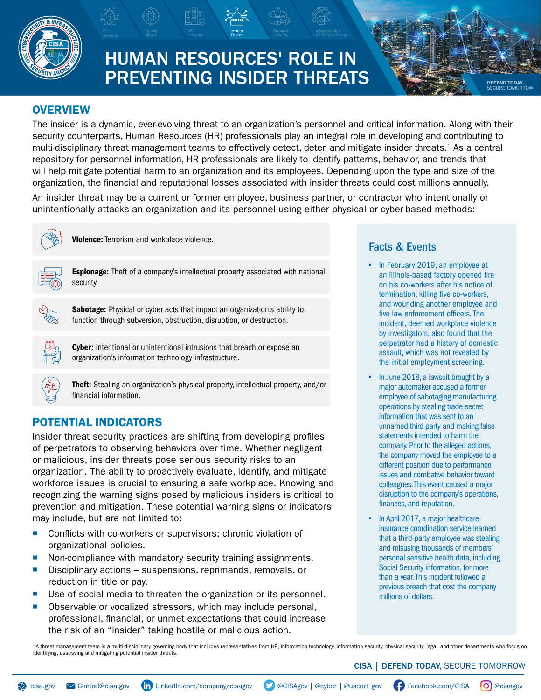

# HUMAN RESOURCES' ROLE IN PREVENTING INSIDER THREATS

Insider Threat

### **OVERVIEW**

The insider is a dynamic, ever-evolving threat to an organization's personnel and critical information. Along with their security counterparts, Human Resources (HR) professionals play an integral role in developing and contributing to multi-disciplinary threat management teams to effectively detect, deter, and mitigate insider threats.1 As a central repository for personnel information, HR professionals are likely to identify patterns, behavior, and trends that will help mitigate potential harm to an organization and its employees. Depending upon the type and size of the organization, the financial and reputational losses associated with insider threats could cost millions annually.

OT **Insider** Physical Interoperable Communications Physical Security Communications

An insider threat may be a current or former employee, business partner, or contractor who intentionally or unintentionally attacks an organization and its personnel using either physical or cyber-based methods:



**Violence:** Terrorism and workplace violence.



**Espionage:** Theft of a company's intellectual property associated with national security.



Sabotage: Physical or cyber acts that impact an organization's ability to function through subversion, obstruction, disruption, or destruction.



Cyber: Intentional or unintentional intrusions that breach or expose an organization's information technology infrastructure.



Theft: Stealing an organization's physical property, intellectual property, and/or financial information.

# POTENTIAL INDICATORS

Insider threat security practices are shifting from developing profiles of perpetrators to observing behaviors over time. Whether negligent or malicious, insider threats pose serious security risks to an organization. The ability to proactively evaluate, identify, and mitigate workforce issues is crucial to ensuring a safe workplace. Knowing and recognizing the warning signs posed by malicious insiders is critical to prevention and mitigation. These potential warning signs or indicators may include, but are not limited to:

- **Conflicts with co-workers or supervisors; chronic violation of** organizational policies.
- Non-compliance with mandatory security training assignments.
- Disciplinary actions suspensions, reprimands, removals, or reduction in title or pay.
- Use of social media to threaten the organization or its personnel.
- **Diservable or vocalized stressors, which may include personal,** professional, financial, or unmet expectations that could increase the risk of an "insider" taking hostile or malicious action.

# Facts & Events

• In February 2019, an employee at an Illinois-based factory opened fire on his co-workers after his notice of termination, killing five co-workers, and wounding another employee and five law enforcement officers. The incident, deemed workplace violence by investigators, also found that the perpetrator had a history of domestic assault, which was not revealed by the initial employment screening.

DEFEND TODAY, SECURE TOMORROW

- In June 2018, a lawsuit brought by a major automaker accused a former employee of sabotaging manufacturing operations by stealing trade-secret information that was sent to an unnamed third party and making false statements intended to harm the company. Prior to the alleged actions, the company moved the employee to a different position due to performance issues and combative behavior toward colleagues. This event caused a major disruption to the company's operations, finances, and reputation.
- In April 2017, a major healthcare insurance coordination service learned that a third-party employee was stealing and misusing thousands of members' personal sensitive health data, including Social Security information, for more than a year. This incident followed a previous breach that cost the company millions of dollars.

<sup>1</sup>A threat management team is a multi-disciplinary governing body that includes representatives from HR, information technology, information security, physical security, legal, and other departments who focus on identifying, assessing and mitigating potential insider threats.

#### CISA | DEFEND TODAY, SECURE TOMORROW

[cisa.gov](http://www.cisa.gov) **Y** [Central@cisa.gov](mailto:Central%40cisa.gov?subject=) (in [LinkedIn.com/company/cisagov](http://LinkedIn.com/company/cisagov) **Y** [@CISAgov](http://twitter.com/cisagov) | [@cyber](http://twitter.com/cyber) | [@uscert\\_gov](http://twitter.com/us_cert) (F) [Facebook.com/CISA](http://facebook.com/CISA) (O) [@cisagov](http://instagram.com/cisagov)